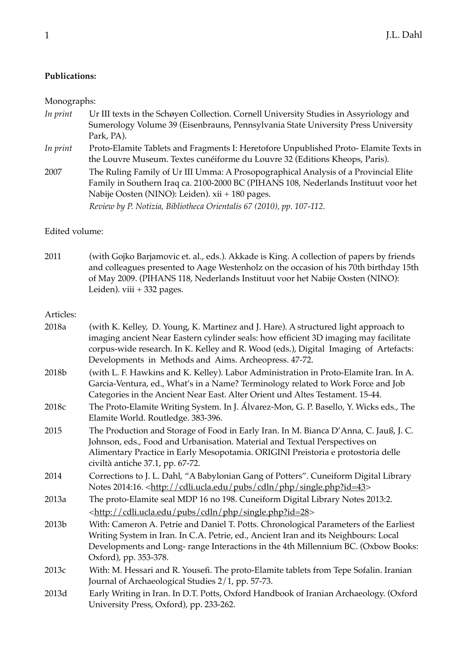## **Publications:**

## Monographs:

*In print* Ur III texts in the Schøyen Collection. Cornell University Studies in Assyriology and Sumerology Volume 39 (Eisenbrauns, Pennsylvania State University Press University Park, PA). *In print* Proto-Elamite Tablets and Fragments I: Heretofore Unpublished Proto-Elamite Texts in the Louvre Museum. Textes cunéiforme du Louvre 32 (Editions Kheops, Paris). 2007 The Ruling Family of Ur III Umma: A Prosopographical Analysis of a Provincial Elite Family in Southern Iraq ca. 2100-2000 BC (PIHANS 108, Nederlands Instituut voor het Nabije Oosten (NINO): Leiden). xii + 180 pages. *Review by P. Notizia, Bibliotheca Orientalis 67 (2010), pp. 107-112.*

## Edited volume:

2011 (with Gojko Barjamovic et. al., eds.). Akkade is King. A collection of papers by friends and colleagues presented to Aage Westenholz on the occasion of his 70th birthday 15th of May 2009. (PIHANS 118, Nederlands Instituut voor het Nabije Oosten (NINO): Leiden). viii + 332 pages.

## Articles:

| 2018a | (with K. Kelley, D. Young, K. Martinez and J. Hare). A structured light approach to<br>imaging ancient Near Eastern cylinder seals: how efficient 3D imaging may facilitate<br>corpus-wide research. In K. Kelley and R. Wood (eds.), Digital Imaging of Artefacts:<br>Developments in Methods and Aims. Archeopress. 47-72. |
|-------|------------------------------------------------------------------------------------------------------------------------------------------------------------------------------------------------------------------------------------------------------------------------------------------------------------------------------|
| 2018b | (with L. F. Hawkins and K. Kelley). Labor Administration in Proto-Elamite Iran. In A.<br>Garcia-Ventura, ed., What's in a Name? Terminology related to Work Force and Job<br>Categories in the Ancient Near East. Alter Orient und Altes Testament. 15-44.                                                                   |
| 2018c | The Proto-Elamite Writing System. In J. Álvarez-Mon, G. P. Basello, Y. Wicks eds., The<br>Elamite World. Routledge. 383-396.                                                                                                                                                                                                 |
| 2015  | The Production and Storage of Food in Early Iran. In M. Bianca D'Anna, C. Jauß, J. C.<br>Johnson, eds., Food and Urbanisation. Material and Textual Perspectives on<br>Alimentary Practice in Early Mesopotamia. ORIGINI Preistoria e protostoria delle<br>civiltà antiche 37.1, pp. 67-72.                                  |
| 2014  | Corrections to J. L. Dahl, "A Babylonian Gang of Potters". Cuneiform Digital Library<br>Notes 2014:16. <http: cdli.ucla.edu="" cdln="" php="" pubs="" single.php?id="43"></http:>                                                                                                                                            |
| 2013a | The proto-Elamite seal MDP 16 no 198. Cuneiform Digital Library Notes 2013:2.<br><http: cdli.ucla.edu="" cdln="" php="" pubs="" single.php?id="28"></http:>                                                                                                                                                                  |
| 2013b | With: Cameron A. Petrie and Daniel T. Potts. Chronological Parameters of the Earliest<br>Writing System in Iran. In C.A. Petrie, ed., Ancient Iran and its Neighbours: Local<br>Developments and Long-range Interactions in the 4th Millennium BC. (Oxbow Books:<br>Oxford), pp. 353-378.                                    |
| 2013c | With: M. Hessari and R. Yousefi. The proto-Elamite tablets from Tepe Sofalin. Iranian<br>Journal of Archaeological Studies 2/1, pp. 57-73.                                                                                                                                                                                   |
| 2013d | Early Writing in Iran. In D.T. Potts, Oxford Handbook of Iranian Archaeology. (Oxford<br>University Press, Oxford), pp. 233-262.                                                                                                                                                                                             |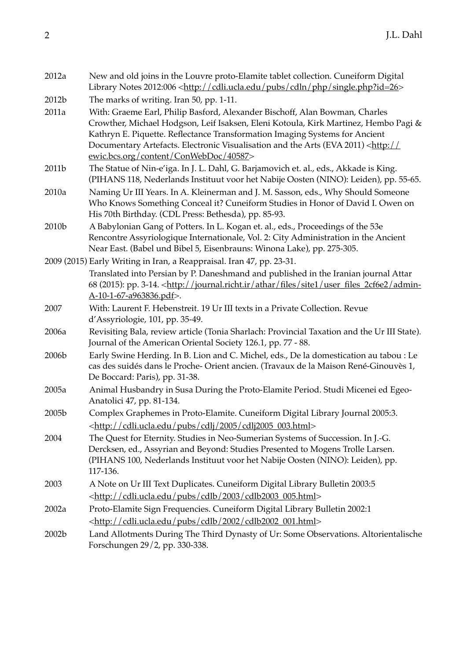| 2012a             | New and old joins in the Louvre proto-Elamite tablet collection. Cuneiform Digital<br>Library Notes 2012:006 <http: cdli.ucla.edu="" cdln="" php="" pubs="" single.php?id="26"></http:>                                                                        |
|-------------------|----------------------------------------------------------------------------------------------------------------------------------------------------------------------------------------------------------------------------------------------------------------|
| 2012b             | The marks of writing. Iran 50, pp. 1-11.                                                                                                                                                                                                                       |
| 2011a             | With: Graeme Earl, Philip Basford, Alexander Bischoff, Alan Bowman, Charles<br>Crowther, Michael Hodgson, Leif Isaksen, Eleni Kotoula, Kirk Martinez, Hembo Pagi &                                                                                             |
|                   | Kathryn E. Piquette. Reflectance Transformation Imaging Systems for Ancient<br>Documentary Artefacts. Electronic Visualisation and the Arts (EVA 2011) <http: <br="">ewic.bcs.org/content/ConWebDoc/40587&gt;</http:>                                          |
| 2011b             | The Statue of Nin-e'iga. In J. L. Dahl, G. Barjamovich et. al., eds., Akkade is King.<br>(PIHANS 118, Nederlands Instituut voor het Nabije Oosten (NINO): Leiden), pp. 55-65.                                                                                  |
| 2010a             | Naming Ur III Years. In A. Kleinerman and J. M. Sasson, eds., Why Should Someone<br>Who Knows Something Conceal it? Cuneiform Studies in Honor of David I. Owen on<br>His 70th Birthday. (CDL Press: Bethesda), pp. 85-93.                                     |
| 2010b             | A Babylonian Gang of Potters. In L. Kogan et. al., eds., Proceedings of the 53e<br>Rencontre Assyriologique Internationale, Vol. 2: City Administration in the Ancient<br>Near East. (Babel und Bibel 5, Eisenbrauns: Winona Lake), pp. 275-305.               |
|                   | 2009 (2015) Early Writing in Iran, a Reappraisal. Iran 47, pp. 23-31.                                                                                                                                                                                          |
|                   | Translated into Persian by P. Daneshmand and published in the Iranian journal Attar<br>68 (2015): pp. 3-14. <http: admin-<br="" athar="" files="" journal.richt.ir="" site1="" user_files_2cf6e2="">A-10-1-67-a963836.pdf&gt;.</http:>                         |
| 2007              | With: Laurent F. Hebenstreit. 19 Ur III texts in a Private Collection. Revue<br>d'Assyriologie, 101, pp. 35-49.                                                                                                                                                |
| 2006a             | Revisiting Bala, review article (Tonia Sharlach: Provincial Taxation and the Ur III State).<br>Journal of the American Oriental Society 126.1, pp. 77 - 88.                                                                                                    |
| 2006b             | Early Swine Herding. In B. Lion and C. Michel, eds., De la domestication au tabou : Le<br>cas des suidés dans le Proche-Orient ancien. (Travaux de la Maison René-Ginouvès 1,<br>De Boccard: Paris), pp. 31-38.                                                |
| 2005a             | Animal Husbandry in Susa During the Proto-Elamite Period. Studi Micenei ed Egeo-<br>Anatolici 47, pp. 81-134.                                                                                                                                                  |
| 2005b             | Complex Graphemes in Proto-Elamite. Cuneiform Digital Library Journal 2005:3.<br><http: 2005="" cdli.ucla.edu="" cdlj="" cdlj2005_003.html="" pubs=""></http:>                                                                                                 |
| 2004              | The Quest for Eternity. Studies in Neo-Sumerian Systems of Succession. In J.-G.<br>Dercksen, ed., Assyrian and Beyond: Studies Presented to Mogens Trolle Larsen.<br>(PIHANS 100, Nederlands Instituut voor het Nabije Oosten (NINO): Leiden), pp.<br>117-136. |
| 2003              | A Note on Ur III Text Duplicates. Cuneiform Digital Library Bulletin 2003:5                                                                                                                                                                                    |
|                   | <http: 2003="" cdlb="" cdlb2003_005.html="" cdli.ucla.edu="" pubs=""></http:>                                                                                                                                                                                  |
| 2002a             | Proto-Elamite Sign Frequencies. Cuneiform Digital Library Bulletin 2002:1<br><http: 2002="" cdlb="" cdlb2002_001.html="" cdli.ucla.edu="" pubs=""></http:>                                                                                                     |
| 2002 <sub>b</sub> | Land Allotments During The Third Dynasty of Ur: Some Observations. Altorientalische<br>Forschungen 29/2, pp. 330-338.                                                                                                                                          |
|                   |                                                                                                                                                                                                                                                                |